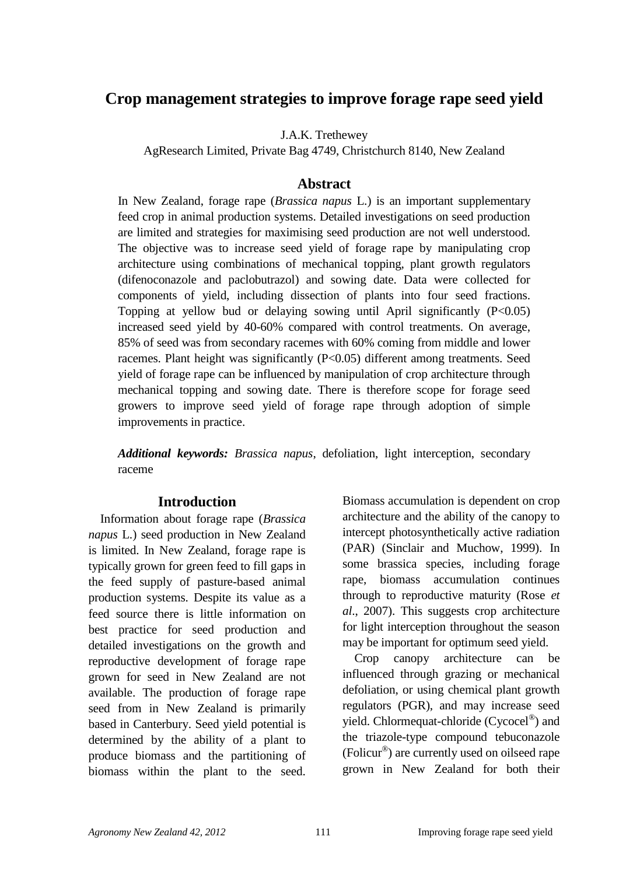# **Crop management strategies to improve forage rape seed yield**

J.A.K. Trethewey

AgResearch Limited, Private Bag 4749, Christchurch 8140, New Zealand

#### **Abstract**

In New Zealand, forage rape (*Brassica napus* L.) is an important supplementary feed crop in animal production systems. Detailed investigations on seed production are limited and strategies for maximising seed production are not well understood. The objective was to increase seed yield of forage rape by manipulating crop architecture using combinations of mechanical topping, plant growth regulators (difenoconazole and paclobutrazol) and sowing date. Data were collected for components of yield, including dissection of plants into four seed fractions. Topping at yellow bud or delaying sowing until April significantly  $(P<0.05)$ increased seed yield by 40-60% compared with control treatments. On average, 85% of seed was from secondary racemes with 60% coming from middle and lower racemes. Plant height was significantly (P<0.05) different among treatments. Seed yield of forage rape can be influenced by manipulation of crop architecture through mechanical topping and sowing date. There is therefore scope for forage seed growers to improve seed yield of forage rape through adoption of simple improvements in practice.

*Additional keywords: Brassica napus*, defoliation, light interception, secondary raceme

#### **Introduction**

Information about forage rape (*Brassica napus* L.) seed production in New Zealand is limited. In New Zealand, forage rape is typically grown for green feed to fill gaps in the feed supply of pasture-based animal production systems. Despite its value as a feed source there is little information on best practice for seed production and detailed investigations on the growth and reproductive development of forage rape grown for seed in New Zealand are not available. The production of forage rape seed from in New Zealand is primarily based in Canterbury. Seed yield potential is determined by the ability of a plant to produce biomass and the partitioning of biomass within the plant to the seed. Biomass accumulation is dependent on crop architecture and the ability of the canopy to intercept photosynthetically active radiation (PAR) (Sinclair and Muchow, 1999). In some brassica species, including forage rape, biomass accumulation continues through to reproductive maturity (Rose *et al*., 2007). This suggests crop architecture for light interception throughout the season may be important for optimum seed yield.

Crop canopy architecture can be influenced through grazing or mechanical defoliation, or using chemical plant growth regulators (PGR), and may increase seed yield. Chlormequat-chloride (Cycocel®) and the triazole-type compound tebuconazole (Folicur® ) are currently used on oilseed rape grown in New Zealand for both their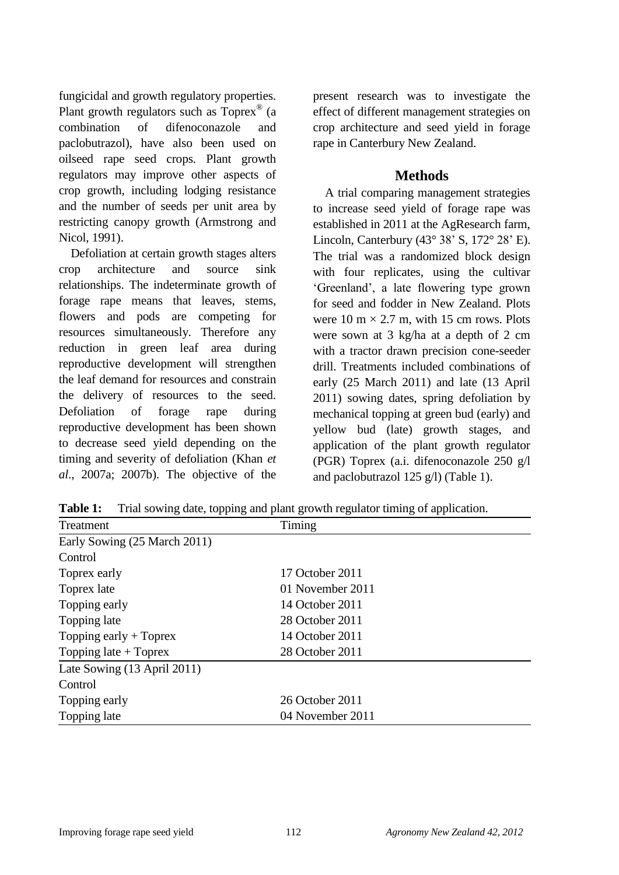fungicidal and growth regulatory properties. Plant growth regulators such as Toprex<sup>®</sup> (a combination of difenoconazole and paclobutrazol), have also been used on oilseed rape seed crops. Plant growth regulators may improve other aspects of crop growth, including lodging resistance and the number of seeds per unit area by restricting canopy growth (Armstrong and Nicol, 1991).

Defoliation at certain growth stages alters crop architecture and source sink relationships. The indeterminate growth of forage rape means that leaves, stems, flowers and pods are competing for resources simultaneously. Therefore any reduction in green leaf area during reproductive development will strengthen the leaf demand for resources and constrain the delivery of resources to the seed. Defoliation of forage rape during reproductive development has been shown to decrease seed yield depending on the timing and severity of defoliation (Khan *et al*., 2007a; 2007b). The objective of the

present research was to investigate the effect of different management strategies on crop architecture and seed yield in forage rape in Canterbury New Zealand.

#### **Methods**

A trial comparing management strategies to increase seed yield of forage rape was established in 2011 at the AgResearch farm, Lincoln, Canterbury  $(43^{\circ} 38^{\circ} S, 172^{\circ} 28^{\circ} E)$ . The trial was a randomized block design with four replicates, using the cultivar "Greenland", a late flowering type grown for seed and fodder in New Zealand. Plots were  $10 \text{ m} \times 2.7 \text{ m}$ , with 15 cm rows. Plots were sown at 3 kg/ha at a depth of 2 cm with a tractor drawn precision cone-seeder drill. Treatments included combinations of early (25 March 2011) and late (13 April 2011) sowing dates, spring defoliation by mechanical topping at green bud (early) and yellow bud (late) growth stages, and application of the plant growth regulator (PGR) Toprex (a.i. difenoconazole 250 g/l and paclobutrazol 125 g/l) (Table 1).

| Treatment                    | Timing           |  |
|------------------------------|------------------|--|
| Early Sowing (25 March 2011) |                  |  |
| Control                      |                  |  |
| Toprex early                 | 17 October 2011  |  |
| Toprex late                  | 01 November 2011 |  |
| Topping early                | 14 October 2011  |  |
| Topping late                 | 28 October 2011  |  |
| Topping early $+$ Toprex     | 14 October 2011  |  |
| Topping late $+$ Toprex      | 28 October 2011  |  |
| Late Sowing (13 April 2011)  |                  |  |
| Control                      |                  |  |
| Topping early                | 26 October 2011  |  |
| Topping late                 | 04 November 2011 |  |

**Table 1:** Trial sowing date, topping and plant growth regulator timing of application.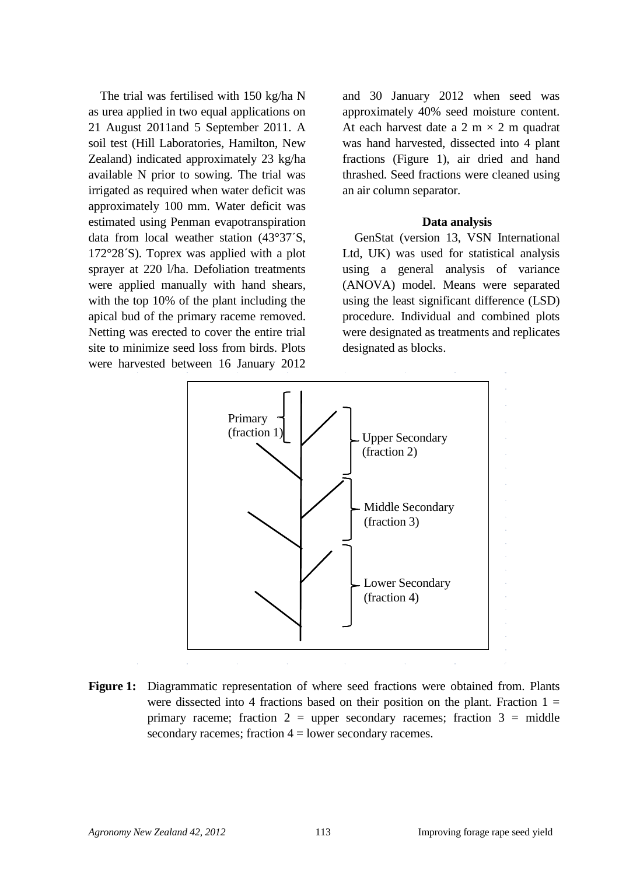The trial was fertilised with 150 kg/ha N as urea applied in two equal applications on 21 August 2011and 5 September 2011. A soil test (Hill Laboratories, Hamilton, New Zealand) indicated approximately 23 kg/ha available N prior to sowing. The trial was irrigated as required when water deficit was approximately 100 mm. Water deficit was estimated using Penman evapotranspiration data from local weather station (43°37´S, 172°28´S). Toprex was applied with a plot sprayer at 220 l/ha. Defoliation treatments were applied manually with hand shears, with the top 10% of the plant including the apical bud of the primary raceme removed. Netting was erected to cover the entire trial site to minimize seed loss from birds. Plots were harvested between 16 January 2012 and 30 January 2012 when seed was approximately 40% seed moisture content. At each harvest date a 2 m  $\times$  2 m quadrat was hand harvested, dissected into 4 plant fractions (Figure 1), air dried and hand thrashed. Seed fractions were cleaned using an air column separator.

#### **Data analysis**

GenStat (version 13, VSN International Ltd, UK) was used for statistical analysis using a general analysis of variance (ANOVA) model. Means were separated using the least significant difference (LSD) procedure. Individual and combined plots were designated as treatments and replicates designated as blocks.



**Figure 1:** Diagrammatic representation of where seed fractions were obtained from. Plants were dissected into 4 fractions based on their position on the plant. Fraction  $1 =$ primary raceme; fraction  $2 =$  upper secondary racemes; fraction  $3 =$  middle secondary racemes; fraction 4 = lower secondary racemes.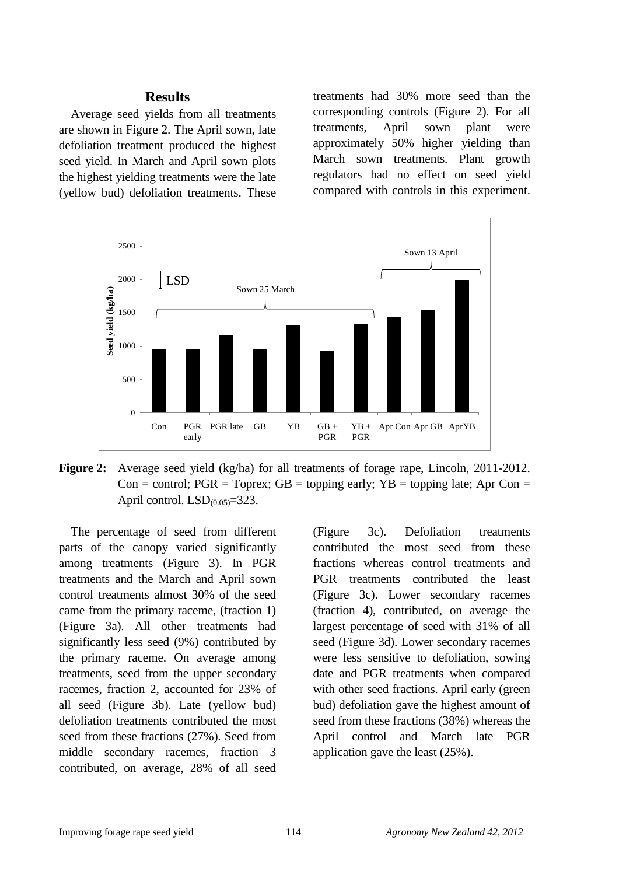#### **Results**

Average seed yields from all treatments are shown in Figure 2. The April sown, late defoliation treatment produced the highest seed yield. In March and April sown plots the highest yielding treatments were the late (yellow bud) defoliation treatments. These treatments had 30% more seed than the corresponding controls (Figure 2). For all treatments, April sown plant were approximately 50% higher yielding than March sown treatments. Plant growth regulators had no effect on seed yield compared with controls in this experiment.



Figure 2: Average seed yield (kg/ha) for all treatments of forage rape, Lincoln, 2011-2012. Con = control;  $PGR = Toprex$ ;  $GB = topping$  early;  $YB = topping$  late; Apr Con = April control.  $LSD_{(0.05)}=323$ .

The percentage of seed from different parts of the canopy varied significantly among treatments (Figure 3). In PGR treatments and the March and April sown control treatments almost 30% of the seed came from the primary raceme, (fraction 1) (Figure 3a). All other treatments had significantly less seed (9%) contributed by the primary raceme. On average among treatments, seed from the upper secondary racemes, fraction 2, accounted for 23% of all seed (Figure 3b). Late (yellow bud) defoliation treatments contributed the most seed from these fractions (27%). Seed from middle secondary racemes, fraction 3 contributed, on average, 28% of all seed

(Figure 3c). Defoliation treatments contributed the most seed from these fractions whereas control treatments and PGR treatments contributed the least (Figure 3c). Lower secondary racemes (fraction 4), contributed, on average the largest percentage of seed with 31% of all seed (Figure 3d). Lower secondary racemes were less sensitive to defoliation, sowing date and PGR treatments when compared with other seed fractions. April early (green bud) defoliation gave the highest amount of seed from these fractions (38%) whereas the April control and March late PGR application gave the least (25%).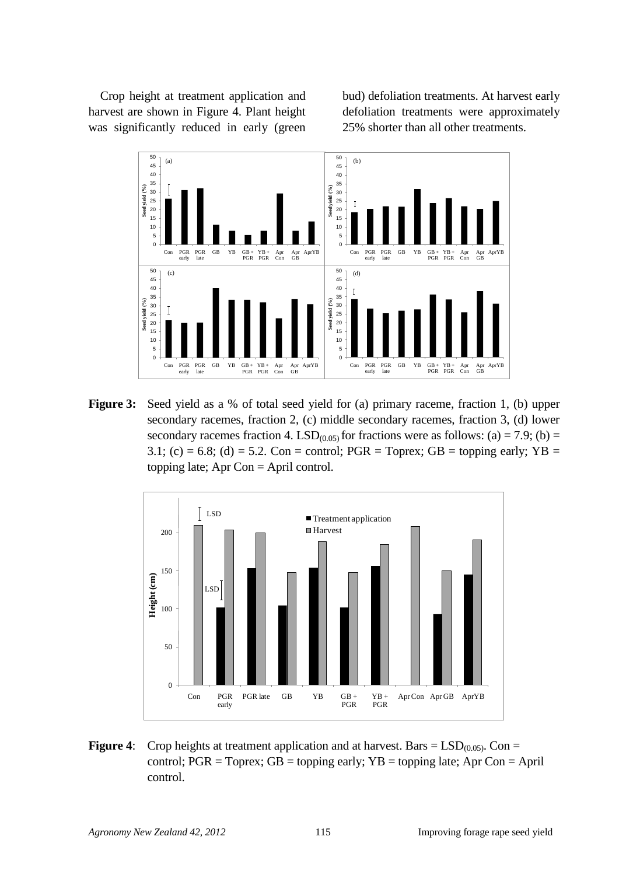Crop height at treatment application and harvest are shown in Figure 4. Plant height was significantly reduced in early (green bud) defoliation treatments. At harvest early defoliation treatments were approximately 25% shorter than all other treatments.



**Figure 3:** Seed yield as a % of total seed yield for (a) primary raceme, fraction 1, (b) upper secondary racemes, fraction 2, (c) middle secondary racemes, fraction 3, (d) lower secondary racemes fraction 4. LSD<sub>(0.05)</sub> for fractions were as follows: (a) = 7.9; (b) = 3.1; (c) = 6.8; (d) = 5.2. Con = control; PGR = Toprex; GB = topping early; YB = topping late; Apr Con = April control.



**Figure 4:** Crop heights at treatment application and at harvest. Bars =  $LSD<sub>(0.05)</sub>$ . Con = control;  $PGR = Toprex$ ;  $GB = topping$  early;  $YB = topping$  late; Apr Con = April control.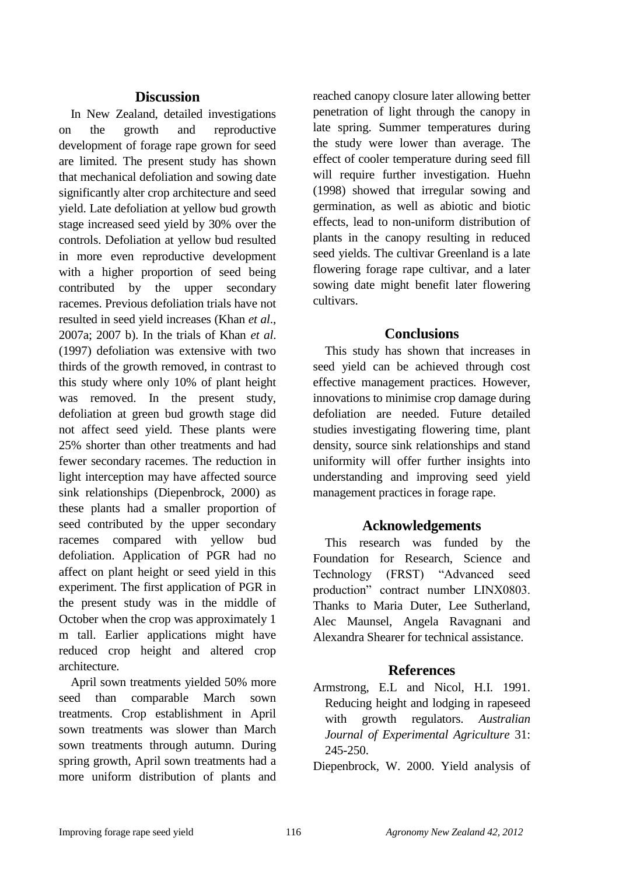#### **Discussion**

In New Zealand, detailed investigations on the growth and reproductive development of forage rape grown for seed are limited. The present study has shown that mechanical defoliation and sowing date significantly alter crop architecture and seed yield. Late defoliation at yellow bud growth stage increased seed yield by 30% over the controls. Defoliation at yellow bud resulted in more even reproductive development with a higher proportion of seed being contributed by the upper secondary racemes. Previous defoliation trials have not resulted in seed yield increases (Khan *et al*., 2007a; 2007 b). In the trials of Khan *et al*. (1997) defoliation was extensive with two thirds of the growth removed, in contrast to this study where only 10% of plant height was removed. In the present study, defoliation at green bud growth stage did not affect seed yield. These plants were 25% shorter than other treatments and had fewer secondary racemes. The reduction in light interception may have affected source sink relationships (Diepenbrock, 2000) as these plants had a smaller proportion of seed contributed by the upper secondary racemes compared with yellow bud defoliation. Application of PGR had no affect on plant height or seed yield in this experiment. The first application of PGR in the present study was in the middle of October when the crop was approximately 1 m tall. Earlier applications might have reduced crop height and altered crop architecture.

April sown treatments yielded 50% more seed than comparable March sown treatments. Crop establishment in April sown treatments was slower than March sown treatments through autumn. During spring growth, April sown treatments had a more uniform distribution of plants and reached canopy closure later allowing better penetration of light through the canopy in late spring. Summer temperatures during the study were lower than average. The effect of cooler temperature during seed fill will require further investigation. Huehn (1998) showed that irregular sowing and germination, as well as abiotic and biotic effects, lead to non-uniform distribution of plants in the canopy resulting in reduced seed yields. The cultivar Greenland is a late flowering forage rape cultivar, and a later sowing date might benefit later flowering cultivars.

#### **Conclusions**

This study has shown that increases in seed yield can be achieved through cost effective management practices. However, innovations to minimise crop damage during defoliation are needed. Future detailed studies investigating flowering time, plant density, source sink relationships and stand uniformity will offer further insights into understanding and improving seed yield management practices in forage rape.

## **Acknowledgements**

This research was funded by the Foundation for Research, Science and Technology (FRST) "Advanced seed production" contract number LINX0803. Thanks to Maria Duter, Lee Sutherland, Alec Maunsel, Angela Ravagnani and Alexandra Shearer for technical assistance.

## **References**

Armstrong, E.L and Nicol, H.I. 1991. Reducing height and lodging in rapeseed with growth regulators. *Australian Journal of Experimental Agriculture* 31: 245-250.

Diepenbrock, W. 2000. Yield analysis of